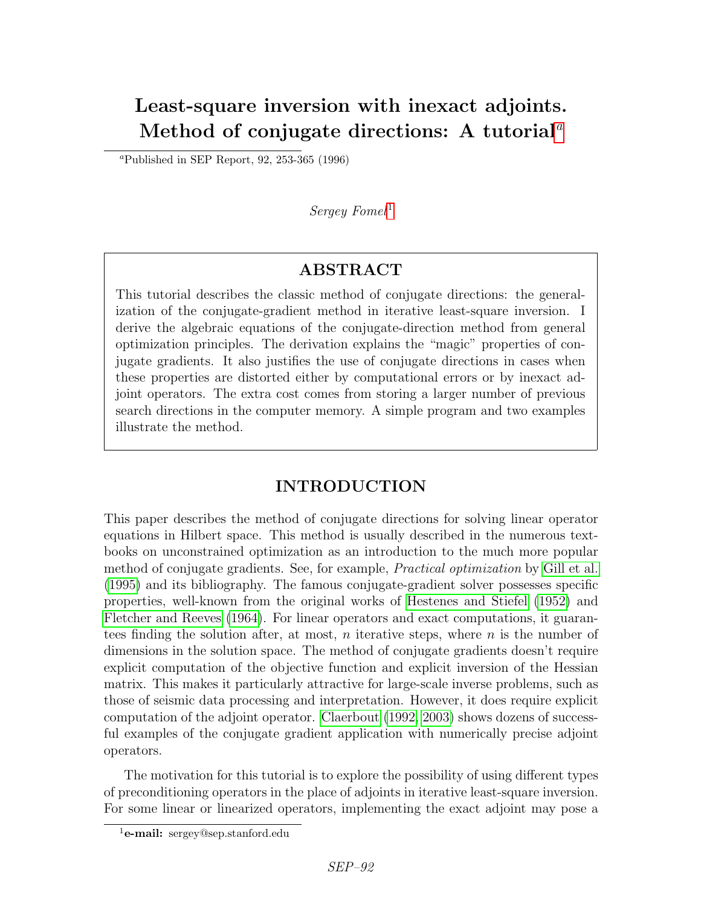# Least-square inversion with inexact adjoints. Method of conjug[a](#page-0-0)te directions: A tutorial<sup> $a$ </sup>

<span id="page-0-0"></span><sup>*a*</sup>Published in SEP Report, 92, 253-365 (1996)

## $Serey$  Fomel<sup>[1](#page-0-1)</sup>

# ABSTRACT

This tutorial describes the classic method of conjugate directions: the generalization of the conjugate-gradient method in iterative least-square inversion. I derive the algebraic equations of the conjugate-direction method from general optimization principles. The derivation explains the "magic" properties of conjugate gradients. It also justifies the use of conjugate directions in cases when these properties are distorted either by computational errors or by inexact adjoint operators. The extra cost comes from storing a larger number of previous search directions in the computer memory. A simple program and two examples illustrate the method.

# INTRODUCTION

This paper describes the method of conjugate directions for solving linear operator equations in Hilbert space. This method is usually described in the numerous textbooks on unconstrained optimization as an introduction to the much more popular method of conjugate gradients. See, for example, Practical optimization by [Gill et al.](#page-12-0) [\(1995\)](#page-12-0) and its bibliography. The famous conjugate-gradient solver possesses specific properties, well-known from the original works of [Hestenes and Stiefel](#page-12-1) [\(1952\)](#page-12-1) and [Fletcher and Reeves](#page-12-2) [\(1964\)](#page-12-2). For linear operators and exact computations, it guarantees finding the solution after, at most,  $n$  iterative steps, where  $n$  is the number of dimensions in the solution space. The method of conjugate gradients doesn't require explicit computation of the objective function and explicit inversion of the Hessian matrix. This makes it particularly attractive for large-scale inverse problems, such as those of seismic data processing and interpretation. However, it does require explicit computation of the adjoint operator. [Claerbout](#page-12-3) [\(1992,](#page-12-3) [2003\)](#page-12-4) shows dozens of successful examples of the conjugate gradient application with numerically precise adjoint operators.

The motivation for this tutorial is to explore the possibility of using different types of preconditioning operators in the place of adjoints in iterative least-square inversion. For some linear or linearized operators, implementing the exact adjoint may pose a

<span id="page-0-1"></span> $1$ **e-mail:** sergey@sep.stanford.edu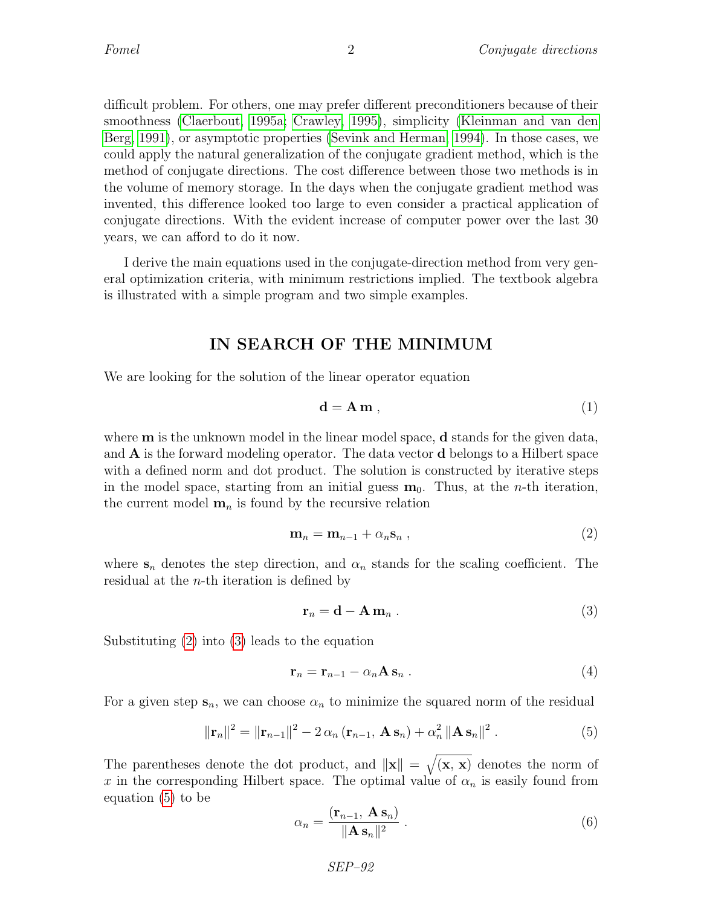difficult problem. For others, one may prefer different preconditioners because of their smoothness [\(Claerbout, 1995a;](#page-12-5) [Crawley, 1995\)](#page-12-6), simplicity [\(Kleinman and van den](#page-12-7) [Berg, 1991\)](#page-12-7), or asymptotic properties [\(Sevink and Herman, 1994\)](#page-12-8). In those cases, we could apply the natural generalization of the conjugate gradient method, which is the method of conjugate directions. The cost difference between those two methods is in the volume of memory storage. In the days when the conjugate gradient method was invented, this difference looked too large to even consider a practical application of conjugate directions. With the evident increase of computer power over the last 30 years, we can afford to do it now.

I derive the main equations used in the conjugate-direction method from very general optimization criteria, with minimum restrictions implied. The textbook algebra is illustrated with a simple program and two simple examples.

### IN SEARCH OF THE MINIMUM

We are looking for the solution of the linear operator equation

<span id="page-1-5"></span>
$$
\mathbf{d} = \mathbf{A} \, \mathbf{m} \,, \tag{1}
$$

where **m** is the unknown model in the linear model space, **d** stands for the given data, and A is the forward modeling operator. The data vector d belongs to a Hilbert space with a defined norm and dot product. The solution is constructed by iterative steps in the model space, starting from an initial guess  $m_0$ . Thus, at the *n*-th iteration, the current model  $\mathbf{m}_n$  is found by the recursive relation

<span id="page-1-0"></span>
$$
\mathbf{m}_n = \mathbf{m}_{n-1} + \alpha_n \mathbf{s}_n \,, \tag{2}
$$

where  $s_n$  denotes the step direction, and  $\alpha_n$  stands for the scaling coefficient. The residual at the n-th iteration is defined by

<span id="page-1-1"></span>
$$
\mathbf{r}_n = \mathbf{d} - \mathbf{A} \, \mathbf{m}_n \,. \tag{3}
$$

Substituting [\(2\)](#page-1-0) into [\(3\)](#page-1-1) leads to the equation

<span id="page-1-4"></span>
$$
\mathbf{r}_n = \mathbf{r}_{n-1} - \alpha_n \mathbf{A} \, \mathbf{s}_n \tag{4}
$$

For a given step  $s_n$ , we can choose  $\alpha_n$  to minimize the squared norm of the residual

<span id="page-1-2"></span>
$$
\|\mathbf{r}_{n}\|^{2} = \|\mathbf{r}_{n-1}\|^{2} - 2 \alpha_{n} (\mathbf{r}_{n-1}, \mathbf{A} \mathbf{s}_{n}) + \alpha_{n}^{2} \|\mathbf{A} \mathbf{s}_{n}\|^{2}.
$$
 (5)

The parentheses denote the dot product, and  $\|\mathbf{x}\| = \sqrt{(\mathbf{x}, \mathbf{x})}$  denotes the norm of x in the corresponding Hilbert space. The optimal value of  $\alpha_n$  is easily found from equation [\(5\)](#page-1-2) to be

<span id="page-1-3"></span>
$$
\alpha_n = \frac{(\mathbf{r}_{n-1}, \mathbf{A} \mathbf{s}_n)}{\|\mathbf{A} \mathbf{s}_n\|^2} \,. \tag{6}
$$

SEP–92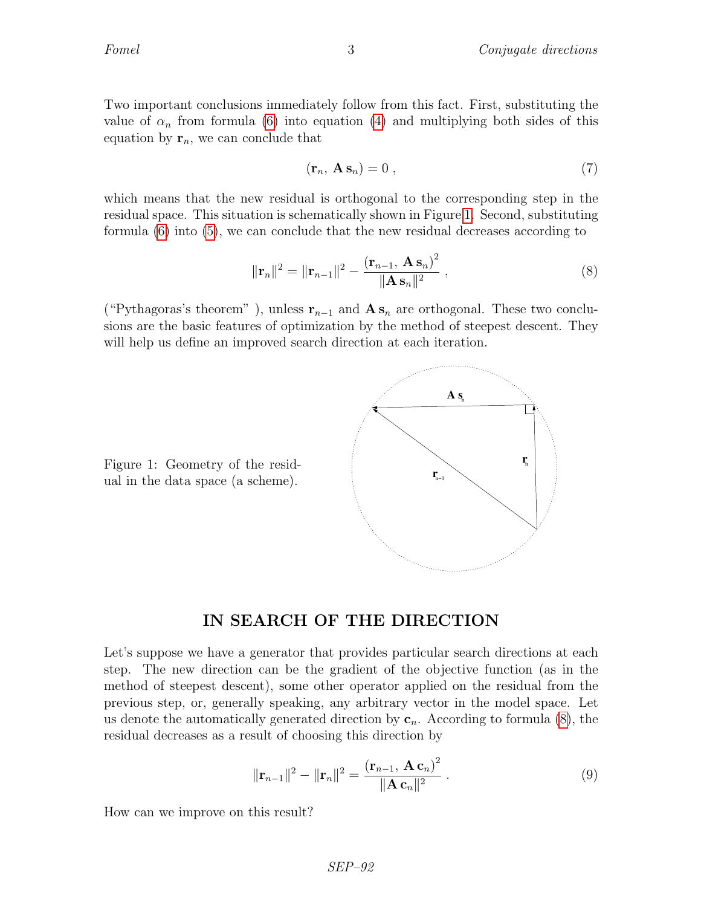Two important conclusions immediately follow from this fact. First, substituting the value of  $\alpha_n$  from formula [\(6\)](#page-1-3) into equation [\(4\)](#page-1-4) and multiplying both sides of this equation by  $\mathbf{r}_n$ , we can conclude that

<span id="page-2-2"></span>
$$
(\mathbf{r}_n, \mathbf{A} \mathbf{s}_n) = 0 \tag{7}
$$

which means that the new residual is orthogonal to the corresponding step in the residual space. This situation is schematically shown in Figure [1.](#page-2-0) Second, substituting formula [\(6\)](#page-1-3) into [\(5\)](#page-1-2), we can conclude that the new residual decreases according to

<span id="page-2-1"></span>
$$
\|\mathbf{r}_{n}\|^{2} = \|\mathbf{r}_{n-1}\|^{2} - \frac{(\mathbf{r}_{n-1}, \mathbf{A}\mathbf{s}_{n})^{2}}{\|\mathbf{A}\mathbf{s}_{n}\|^{2}} , \qquad (8)
$$

("Pythagoras's theorem"), unless  $\mathbf{r}_{n-1}$  and  $\mathbf{A} \mathbf{s}_n$  are orthogonal. These two conclusions are the basic features of optimization by the method of steepest descent. They will help us define an improved search direction at each iteration.



<span id="page-2-0"></span>Figure 1: Geometry of the residual in the data space (a scheme).

### IN SEARCH OF THE DIRECTION

Let's suppose we have a generator that provides particular search directions at each step. The new direction can be the gradient of the objective function (as in the method of steepest descent), some other operator applied on the residual from the previous step, or, generally speaking, any arbitrary vector in the model space. Let us denote the automatically generated direction by  $c_n$ . According to formula [\(8\)](#page-2-1), the residual decreases as a result of choosing this direction by

<span id="page-2-3"></span>
$$
\|\mathbf{r}_{n-1}\|^2 - \|\mathbf{r}_n\|^2 = \frac{(\mathbf{r}_{n-1}, \mathbf{A}\mathbf{c}_n)^2}{\|\mathbf{A}\mathbf{c}_n\|^2} \,. \tag{9}
$$

How can we improve on this result?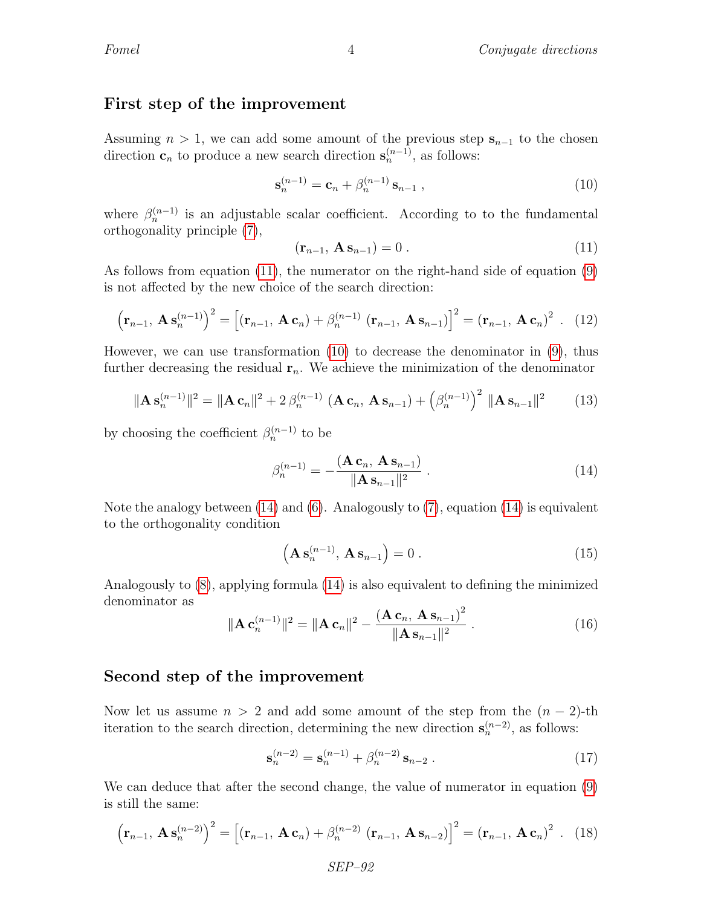### First step of the improvement

Assuming  $n > 1$ , we can add some amount of the previous step  $s_{n-1}$  to the chosen direction  $\mathbf{c}_n$  to produce a new search direction  $\mathbf{s}_n^{(n-1)}$ , as follows:

<span id="page-3-1"></span>
$$
\mathbf{s}_n^{(n-1)} = \mathbf{c}_n + \beta_n^{(n-1)} \mathbf{s}_{n-1} \,, \tag{10}
$$

where  $\beta_n^{(n-1)}$  is an adjustable scalar coefficient. According to to the fundamental orthogonality principle [\(7\)](#page-2-2),

<span id="page-3-0"></span>
$$
\left(\mathbf{r}_{n-1}, \mathbf{A} \mathbf{s}_{n-1}\right) = 0 \tag{11}
$$

As follows from equation [\(11\)](#page-3-0), the numerator on the right-hand side of equation [\(9\)](#page-2-3) is not affected by the new choice of the search direction:

$$
\left(\mathbf{r}_{n-1}, \mathbf{A} \mathbf{s}_{n}^{(n-1)}\right)^{2} = \left[\left(\mathbf{r}_{n-1}, \mathbf{A} \mathbf{c}_{n}\right) + \beta_{n}^{(n-1)} \left(\mathbf{r}_{n-1}, \mathbf{A} \mathbf{s}_{n-1}\right)\right]^{2} = \left(\mathbf{r}_{n-1}, \mathbf{A} \mathbf{c}_{n}\right)^{2} . \quad (12)
$$

However, we can use transformation [\(10\)](#page-3-1) to decrease the denominator in [\(9\)](#page-2-3), thus further decreasing the residual  $r_n$ . We achieve the minimization of the denominator

$$
\|\mathbf{A}\mathbf{s}_{n}^{(n-1)}\|^{2} = \|\mathbf{A}\mathbf{c}_{n}\|^{2} + 2\beta_{n}^{(n-1)}\left(\mathbf{A}\mathbf{c}_{n}, \mathbf{A}\mathbf{s}_{n-1}\right) + \left(\beta_{n}^{(n-1)}\right)^{2} \|\mathbf{A}\mathbf{s}_{n-1}\|^{2} \tag{13}
$$

by choosing the coefficient  $\beta_n^{(n-1)}$  to be

<span id="page-3-2"></span>
$$
\beta_n^{(n-1)} = -\frac{(\mathbf{A}\mathbf{c}_n, \mathbf{A}\mathbf{s}_{n-1})}{\|\mathbf{A}\mathbf{s}_{n-1}\|^2} \,. \tag{14}
$$

Note the analogy between  $(14)$  and  $(6)$ . Analogously to  $(7)$ , equation  $(14)$  is equivalent to the orthogonality condition

<span id="page-3-3"></span>
$$
\left(\mathbf{A}\,\mathbf{s}_{n}^{(n-1)},\,\mathbf{A}\,\mathbf{s}_{n-1}\right)=0\,. \tag{15}
$$

Analogously to [\(8\)](#page-2-1), applying formula [\(14\)](#page-3-2) is also equivalent to defining the minimized denominator as

$$
\|\mathbf{A}\,\mathbf{c}_n^{(n-1)}\|^2 = \|\mathbf{A}\,\mathbf{c}_n\|^2 - \frac{(\mathbf{A}\,\mathbf{c}_n,\,\mathbf{A}\,\mathbf{s}_{n-1})^2}{\|\mathbf{A}\,\mathbf{s}_{n-1}\|^2} \,. \tag{16}
$$

### Second step of the improvement

Now let us assume  $n > 2$  and add some amount of the step from the  $(n - 2)$ -th iteration to the search direction, determining the new direction  $\mathbf{s}_n^{(n-2)}$ , as follows:

<span id="page-3-5"></span>
$$
\mathbf{s}_n^{(n-2)} = \mathbf{s}_n^{(n-1)} + \beta_n^{(n-2)} \mathbf{s}_{n-2} . \tag{17}
$$

We can deduce that after the second change, the value of numerator in equation [\(9\)](#page-2-3) is still the same:

<span id="page-3-4"></span>
$$
\left(\mathbf{r}_{n-1}, \mathbf{A} \mathbf{s}_{n}^{(n-2)}\right)^{2} = \left[\left(\mathbf{r}_{n-1}, \mathbf{A} \mathbf{c}_{n}\right) + \beta_{n}^{(n-2)} \left(\mathbf{r}_{n-1}, \mathbf{A} \mathbf{s}_{n-2}\right)\right]^{2} = \left(\mathbf{r}_{n-1}, \mathbf{A} \mathbf{c}_{n}\right)^{2} . \quad (18)
$$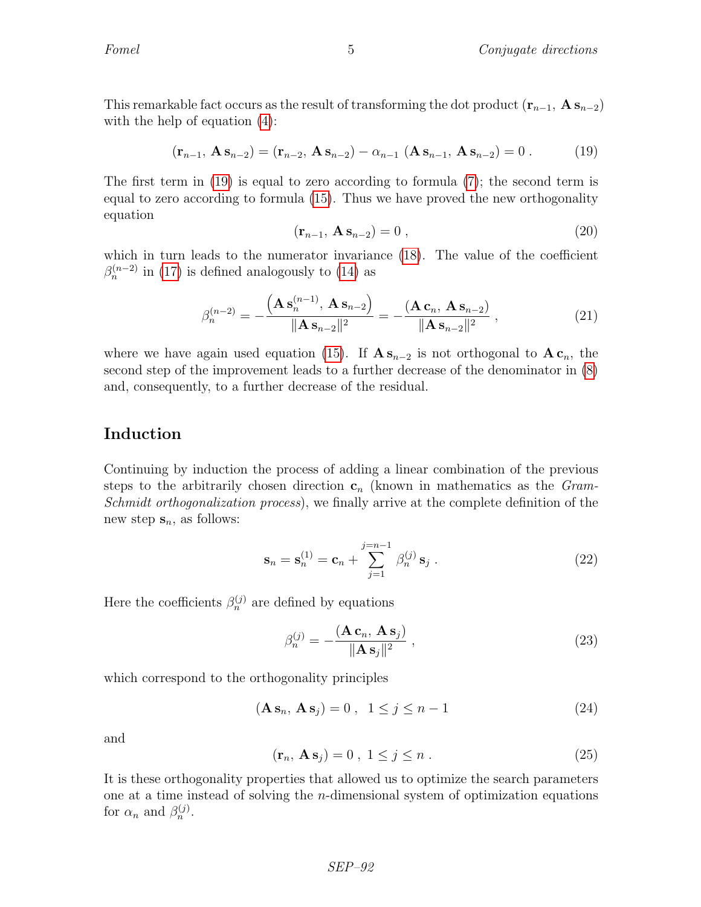This remarkable fact occurs as the result of transforming the dot product  $(\mathbf{r}_{n-1}, \mathbf{A} \mathbf{s}_{n-2})$ with the help of equation  $(4)$ :

<span id="page-4-0"></span>
$$
(\mathbf{r}_{n-1}, \mathbf{A} \mathbf{s}_{n-2}) = (\mathbf{r}_{n-2}, \mathbf{A} \mathbf{s}_{n-2}) - \alpha_{n-1} (\mathbf{A} \mathbf{s}_{n-1}, \mathbf{A} \mathbf{s}_{n-2}) = 0.
$$
 (19)

The first term in [\(19\)](#page-4-0) is equal to zero according to formula [\(7\)](#page-2-2); the second term is equal to zero according to formula [\(15\)](#page-3-3). Thus we have proved the new orthogonality equation

$$
\left(\mathbf{r}_{n-1}, \mathbf{A} \mathbf{s}_{n-2}\right) = 0 \tag{20}
$$

which in turn leads to the numerator invariance [\(18\)](#page-3-4). The value of the coefficient  $\beta_n^{(n-2)}$  in [\(17\)](#page-3-5) is defined analogously to [\(14\)](#page-3-2) as

$$
\beta_n^{(n-2)} = -\frac{\left(\mathbf{A}\,\mathbf{s}_n^{(n-1)},\,\mathbf{A}\,\mathbf{s}_{n-2}\right)}{\|\mathbf{A}\,\mathbf{s}_{n-2}\|^2} = -\frac{\left(\mathbf{A}\,\mathbf{c}_n,\,\mathbf{A}\,\mathbf{s}_{n-2}\right)}{\|\mathbf{A}\,\mathbf{s}_{n-2}\|^2} \,,\tag{21}
$$

where we have again used equation [\(15\)](#page-3-3). If  $\mathbf{A} \mathbf{s}_{n-2}$  is not orthogonal to  $\mathbf{A} \mathbf{c}_n$ , the second step of the improvement leads to a further decrease of the denominator in [\(8\)](#page-2-1) and, consequently, to a further decrease of the residual.

### Induction

Continuing by induction the process of adding a linear combination of the previous steps to the arbitrarily chosen direction  $c_n$  (known in mathematics as the *Gram*-Schmidt orthogonalization process), we finally arrive at the complete definition of the new step  $s_n$ , as follows:

<span id="page-4-1"></span>
$$
\mathbf{s}_n = \mathbf{s}_n^{(1)} = \mathbf{c}_n + \sum_{j=1}^{j=n-1} \beta_n^{(j)} \mathbf{s}_j . \tag{22}
$$

Here the coefficients  $\beta_n^{(j)}$  are defined by equations

<span id="page-4-2"></span>
$$
\beta_n^{(j)} = -\frac{(\mathbf{A}\mathbf{c}_n, \mathbf{A}\mathbf{s}_j)}{\|\mathbf{A}\mathbf{s}_j\|^2},\tag{23}
$$

which correspond to the orthogonality principles

<span id="page-4-3"></span>
$$
(\mathbf{A}\,\mathbf{s}_n,\,\mathbf{A}\,\mathbf{s}_j) = 0\,,\ 1 \le j \le n-1 \tag{24}
$$

and

<span id="page-4-4"></span>
$$
(\mathbf{r}_n, \mathbf{A}\mathbf{s}_j) = 0 \ , \ 1 \le j \le n \ . \tag{25}
$$

It is these orthogonality properties that allowed us to optimize the search parameters one at a time instead of solving the n-dimensional system of optimization equations for  $\alpha_n$  and  $\beta_n^{(j)}$ .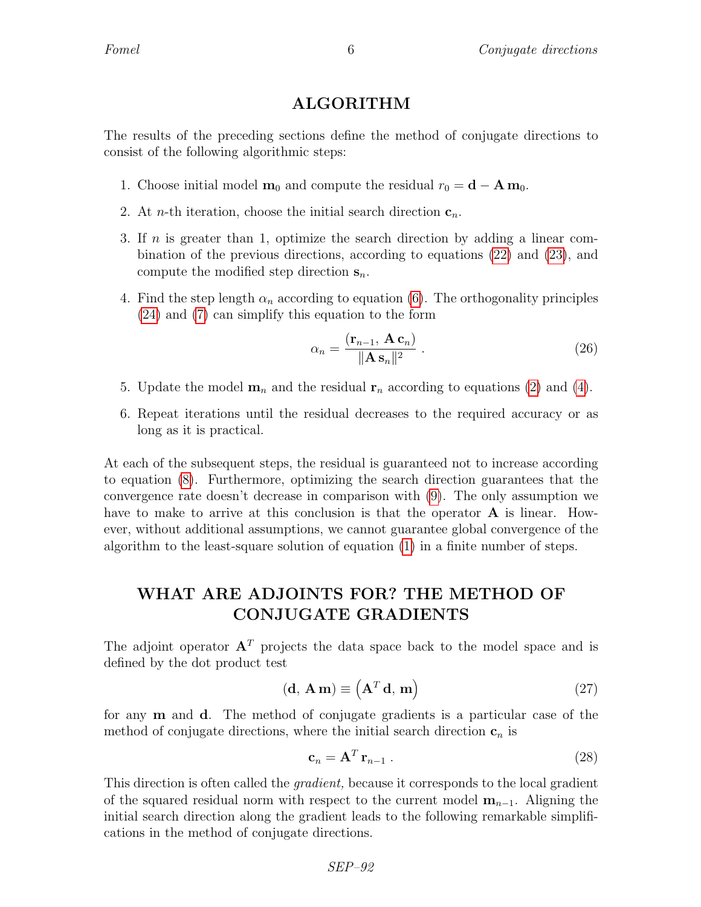### ALGORITHM

The results of the preceding sections define the method of conjugate directions to consist of the following algorithmic steps:

- 1. Choose initial model  $\mathbf{m}_0$  and compute the residual  $r_0 = \mathbf{d} \mathbf{A} \mathbf{m}_0$ .
- 2. At *n*-th iteration, choose the initial search direction  $c_n$ .
- 3. If n is greater than 1, optimize the search direction by adding a linear combination of the previous directions, according to equations [\(22\)](#page-4-1) and [\(23\)](#page-4-2), and compute the modified step direction  $s_n$ .
- 4. Find the step length  $\alpha_n$  according to equation [\(6\)](#page-1-3). The orthogonality principles [\(24\)](#page-4-3) and [\(7\)](#page-2-2) can simplify this equation to the form

<span id="page-5-1"></span>
$$
\alpha_n = \frac{(\mathbf{r}_{n-1}, \mathbf{A}\,\mathbf{c}_n)}{\|\mathbf{A}\,\mathbf{s}_n\|^2} \,. \tag{26}
$$

- 5. Update the model  $\mathbf{m}_n$  and the residual  $\mathbf{r}_n$  according to equations [\(2\)](#page-1-0) and [\(4\)](#page-1-4).
- 6. Repeat iterations until the residual decreases to the required accuracy or as long as it is practical.

At each of the subsequent steps, the residual is guaranteed not to increase according to equation [\(8\)](#page-2-1). Furthermore, optimizing the search direction guarantees that the convergence rate doesn't decrease in comparison with [\(9\)](#page-2-3). The only assumption we have to make to arrive at this conclusion is that the operator **A** is linear. However, without additional assumptions, we cannot guarantee global convergence of the algorithm to the least-square solution of equation [\(1\)](#page-1-5) in a finite number of steps.

# WHAT ARE ADJOINTS FOR? THE METHOD OF CONJUGATE GRADIENTS

The adjoint operator  $A<sup>T</sup>$  projects the data space back to the model space and is defined by the dot product test

<span id="page-5-0"></span>
$$
(\mathbf{d}, \mathbf{A}\mathbf{m}) \equiv \left(\mathbf{A}^T \mathbf{d}, \mathbf{m}\right) \tag{27}
$$

for any m and d. The method of conjugate gradients is a particular case of the method of conjugate directions, where the initial search direction  $c_n$  is

<span id="page-5-2"></span>
$$
\mathbf{c}_n = \mathbf{A}^T \mathbf{r}_{n-1} \tag{28}
$$

This direction is often called the gradient, because it corresponds to the local gradient of the squared residual norm with respect to the current model  $m_{n-1}$ . Aligning the initial search direction along the gradient leads to the following remarkable simplifications in the method of conjugate directions.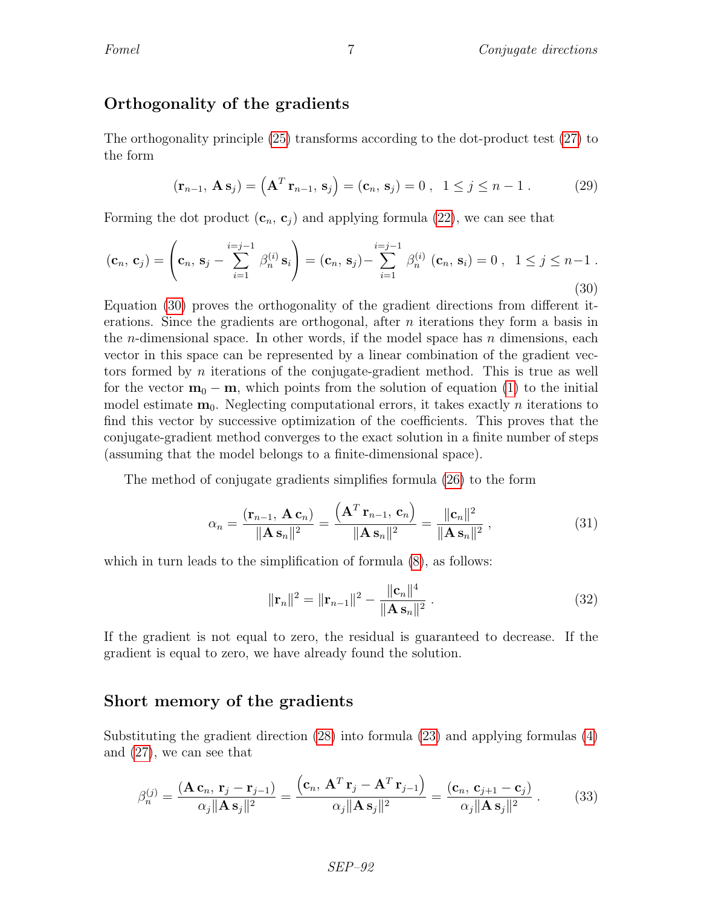### Orthogonality of the gradients

The orthogonality principle [\(25\)](#page-4-4) transforms according to the dot-product test [\(27\)](#page-5-0) to the form

$$
(\mathbf{r}_{n-1}, \mathbf{A} \mathbf{s}_j) = (\mathbf{A}^T \mathbf{r}_{n-1}, \mathbf{s}_j) = (\mathbf{c}_n, \mathbf{s}_j) = 0, \quad 1 \le j \le n-1.
$$
 (29)

Forming the dot product  $(c_n, c_j)$  and applying formula [\(22\)](#page-4-1), we can see that

<span id="page-6-0"></span>
$$
(\mathbf{c}_n, \mathbf{c}_j) = \left(\mathbf{c}_n, \mathbf{s}_j - \sum_{i=1}^{i=j-1} \beta_n^{(i)} \mathbf{s}_i\right) = (\mathbf{c}_n, \mathbf{s}_j) - \sum_{i=1}^{i=j-1} \beta_n^{(i)} (\mathbf{c}_n, \mathbf{s}_i) = 0, \quad 1 \le j \le n-1.
$$
\n(30)

Equation [\(30\)](#page-6-0) proves the orthogonality of the gradient directions from different iterations. Since the gradients are orthogonal, after  $n$  iterations they form a basis in the *n*-dimensional space. In other words, if the model space has  $n$  dimensions, each vector in this space can be represented by a linear combination of the gradient vectors formed by n iterations of the conjugate-gradient method. This is true as well for the vector  $m_0 - m$ , which points from the solution of equation [\(1\)](#page-1-5) to the initial model estimate  $\mathbf{m}_0$ . Neglecting computational errors, it takes exactly *n* iterations to find this vector by successive optimization of the coefficients. This proves that the conjugate-gradient method converges to the exact solution in a finite number of steps (assuming that the model belongs to a finite-dimensional space).

The method of conjugate gradients simplifies formula [\(26\)](#page-5-1) to the form

<span id="page-6-1"></span>
$$
\alpha_n = \frac{(\mathbf{r}_{n-1}, \mathbf{A} \mathbf{c}_n)}{\|\mathbf{A} \mathbf{s}_n\|^2} = \frac{(\mathbf{A}^T \mathbf{r}_{n-1}, \mathbf{c}_n)}{\|\mathbf{A} \mathbf{s}_n\|^2} = \frac{\|\mathbf{c}_n\|^2}{\|\mathbf{A} \mathbf{s}_n\|^2},
$$
(31)

which in turn leads to the simplification of formula  $(8)$ , as follows:

$$
\|\mathbf{r}_n\|^2 = \|\mathbf{r}_{n-1}\|^2 - \frac{\|\mathbf{c}_n\|^4}{\|\mathbf{A}\,\mathbf{s}_n\|^2} \,. \tag{32}
$$

If the gradient is not equal to zero, the residual is guaranteed to decrease. If the gradient is equal to zero, we have already found the solution.

### Short memory of the gradients

Substituting the gradient direction [\(28\)](#page-5-2) into formula [\(23\)](#page-4-2) and applying formulas [\(4\)](#page-1-4) and [\(27\)](#page-5-0), we can see that

$$
\beta_n^{(j)} = \frac{(\mathbf{A}\,\mathbf{c}_n,\,\mathbf{r}_j-\mathbf{r}_{j-1})}{\alpha_j \|\mathbf{A}\,\mathbf{s}_j\|^2} = \frac{(\mathbf{c}_n,\,\mathbf{A}^T\,\mathbf{r}_j-\mathbf{A}^T\,\mathbf{r}_{j-1})}{\alpha_j \|\mathbf{A}\,\mathbf{s}_j\|^2} = \frac{(\mathbf{c}_n,\,\mathbf{c}_{j+1}-\mathbf{c}_j)}{\alpha_j \|\mathbf{A}\,\mathbf{s}_j\|^2} \,. \tag{33}
$$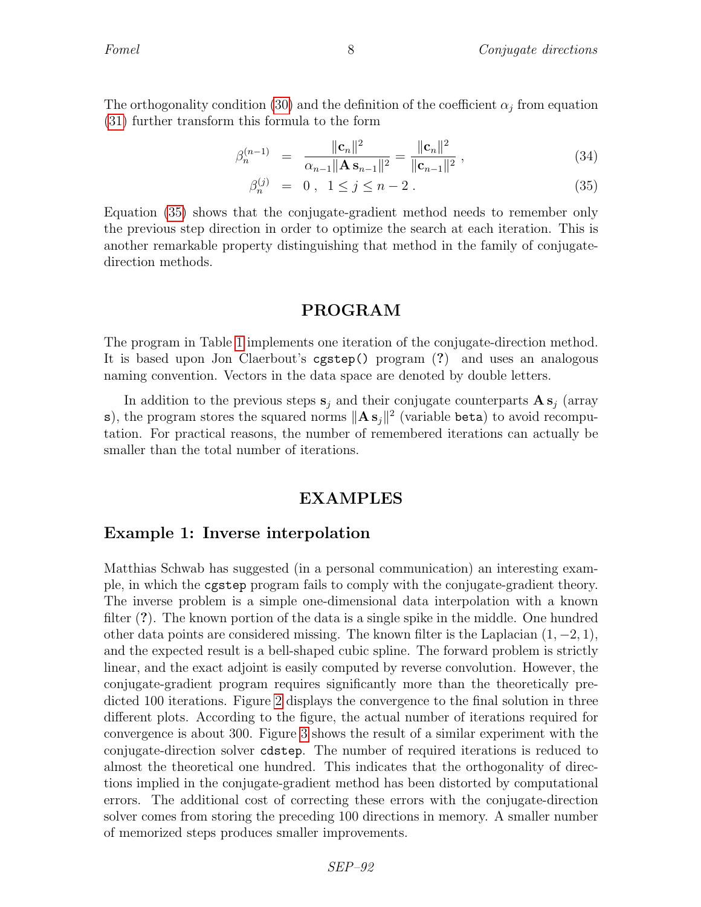The orthogonality condition [\(30\)](#page-6-0) and the definition of the coefficient  $\alpha_j$  from equation [\(31\)](#page-6-1) further transform this formula to the form

$$
\beta_n^{(n-1)} = \frac{\|\mathbf{c}_n\|^2}{\alpha_{n-1} \|\mathbf{A} \mathbf{s}_{n-1}\|^2} = \frac{\|\mathbf{c}_n\|^2}{\|\mathbf{c}_{n-1}\|^2} \,, \tag{34}
$$

<span id="page-7-0"></span>
$$
\beta_n^{(j)} = 0, \ 1 \le j \le n - 2. \tag{35}
$$

Equation [\(35\)](#page-7-0) shows that the conjugate-gradient method needs to remember only the previous step direction in order to optimize the search at each iteration. This is another remarkable property distinguishing that method in the family of conjugatedirection methods.

### PROGRAM

The program in Table [1](#page-8-0) implements one iteration of the conjugate-direction method. It is based upon Jon Claerbout's cgstep() program (?) and uses an analogous naming convention. Vectors in the data space are denoted by double letters.

In addition to the previous steps  $s_i$  and their conjugate counterparts  $\mathbf{A} s_i$  (array s), the program stores the squared norms  $\|\mathbf{A}\mathbf{s}_j\|^2$  (variable beta) to avoid recomputation. For practical reasons, the number of remembered iterations can actually be smaller than the total number of iterations.

#### EXAMPLES

#### Example 1: Inverse interpolation

Matthias Schwab has suggested (in a personal communication) an interesting example, in which the cgstep program fails to comply with the conjugate-gradient theory. The inverse problem is a simple one-dimensional data interpolation with a known filter (?). The known portion of the data is a single spike in the middle. One hundred other data points are considered missing. The known filter is the Laplacian  $(1, -2, 1)$ , and the expected result is a bell-shaped cubic spline. The forward problem is strictly linear, and the exact adjoint is easily computed by reverse convolution. However, the conjugate-gradient program requires significantly more than the theoretically predicted 100 iterations. Figure [2](#page-9-0) displays the convergence to the final solution in three different plots. According to the figure, the actual number of iterations required for convergence is about 300. Figure [3](#page-9-1) shows the result of a similar experiment with the conjugate-direction solver cdstep. The number of required iterations is reduced to almost the theoretical one hundred. This indicates that the orthogonality of directions implied in the conjugate-gradient method has been distorted by computational errors. The additional cost of correcting these errors with the conjugate-direction solver comes from storing the preceding 100 directions in memory. A smaller number of memorized steps produces smaller improvements.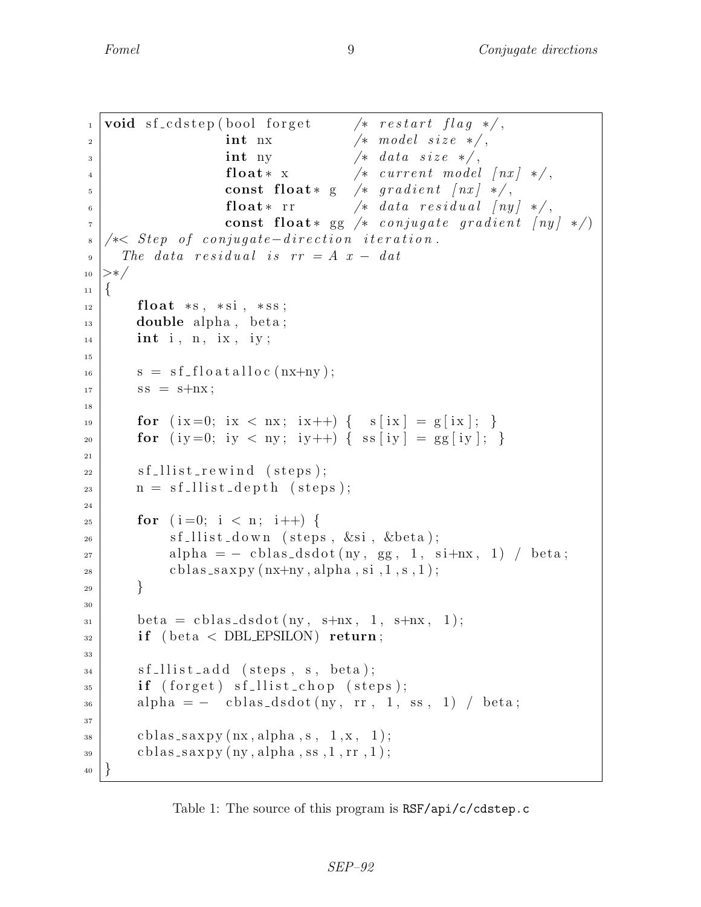```
\frac{1}{1} void sf_cdstep (bool forget \frac{1}{1} /* restart flag */,
2 \mid int nx \text{/}* \text{ model size } */\int int ny \left| \int \right| at a size \left| \star \right|,
4 \vert float * x \vert \vert current model \vert nx \vert */,
\mathfrak{s} const float * g /* gradient \lceil nx \rceil */,
6 | float* rr \frac{1}{4} float* rr \frac{1}{4} data residual \left\lfloor ny \right\rfloor */,
\tau | const float* gg /* conjugate gradient \lceil ny \rceil */
s \mid \neq S tep of conjugate-direction iteration.
9 The data residual is rr = A x - dat_{10} >*/
_{11} {
_{12} float \asts, \astsi, \astss;
_{13} double alpha, beta;
_{14} int i, n, ix, iy;
15
s = sf_f o at a l l o c (nx+ny);
\begin{array}{c|c}\n\text{17} & \text{SS} = \text{s+}\text{n} \times; \\
\end{array}18
19 for (ix=0; ix < nx; ix++) { s [ix ] = g [ix ]; }
20 for (iy =0; iy < ny; iy ++) { ss [iy ] = gg [iy ]; }
21
22 \mid \text{sf\_llist\_rewind (steps)};
n = \text{sf}_\text{allist}\_\text{depth} (steps);
24
_{25} for (i=0; i < n; i++) {
s sf_llist_down (steps, \&\sin, \&\thetabeta);
27 alpha = - cblas_dsdot(ny, gg, 1, si+nx, 1) / beta;
_{28} cblas_saxpy (nx+ny, alpha, si, 1, s, 1);
29 }
30
31 beta = cblas_dsdot(ny, s+nx, 1, s+nx, 1);
32 if (beta < DBLEPSILON) return;
33
\begin{array}{c|c} \text{34} & \text{sf-llist-add (steps, s, beta);} \end{array}\text{if (forget) sf\_llist\_chop (steps)};_{36} alpha = - cblas_dsdot(ny, rr, 1, ss, 1) / beta;
37
\substack{\text{38}} cblas_saxpy(nx, alpha, s, 1,x, 1);
_{39} cblas_saxpy(ny, alpha, ss, 1, rr, 1);
40 }
```
<span id="page-8-0"></span>Table 1: The source of this program is RSF/api/c/cdstep.c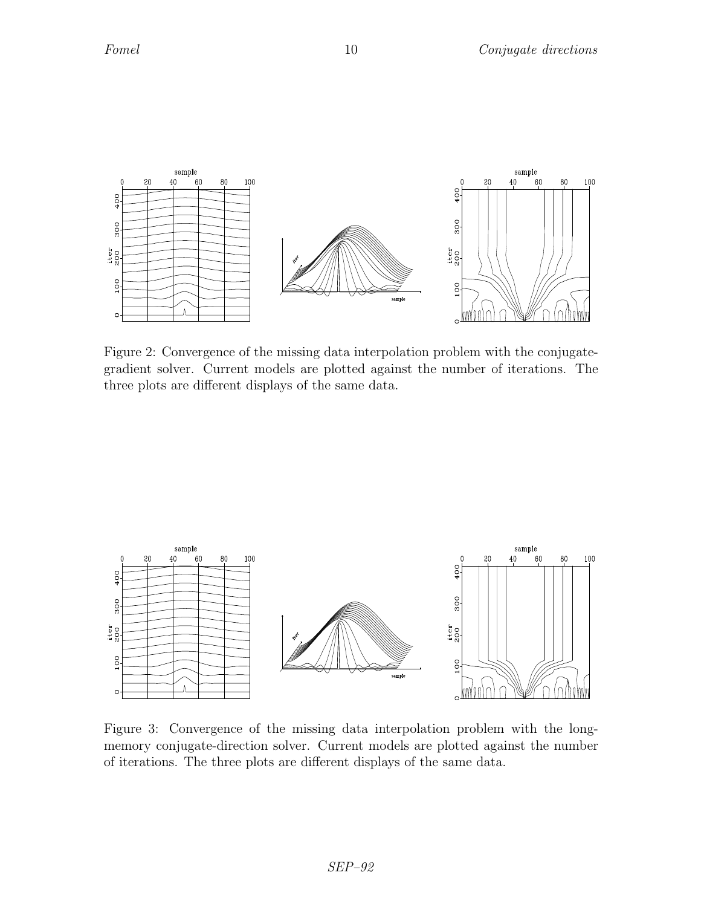

<span id="page-9-0"></span>Figure 2: Convergence of the missing data interpolation problem with the conjugategradient solver. Current models are plotted against the number of iterations. The three plots are different displays of the same data.



<span id="page-9-1"></span>Figure 3: Convergence of the missing data interpolation problem with the longmemory conjugate-direction solver. Current models are plotted against the number of iterations. The three plots are different displays of the same data.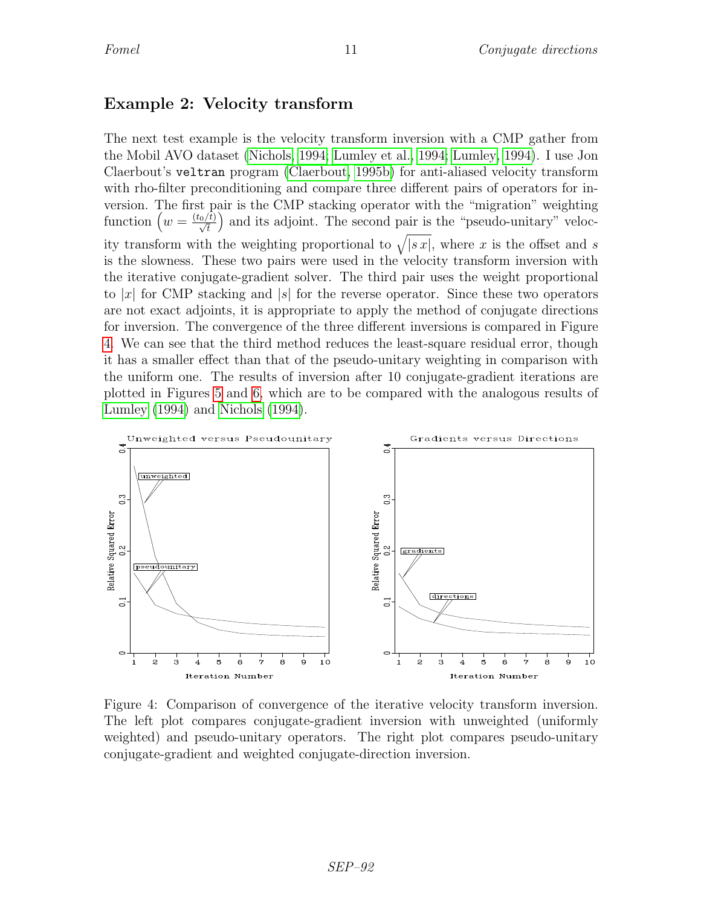# Example 2: Velocity transform

The next test example is the velocity transform inversion with a CMP gather from the Mobil AVO dataset [\(Nichols, 1994;](#page-12-9) [Lumley et al., 1994;](#page-12-10) [Lumley, 1994\)](#page-12-11). I use Jon Claerbout's veltran program [\(Claerbout, 1995b\)](#page-12-12) for anti-aliased velocity transform with rho-filter preconditioning and compare three different pairs of operators for inversion. The first pair is the CMP stacking operator with the "migration" weighting function  $\left(w = \frac{(t_0/\bar{t})}{\sqrt{t}}\right)$  and its adjoint. The second pair is the "pseudo-unitary" velocity transform with the weighting proportional to  $\sqrt{|sx|}$ , where x is the offset and s is the slowness. These two pairs were used in the velocity transform inversion with the iterative conjugate-gradient solver. The third pair uses the weight proportional to |x| for CMP stacking and  $|s|$  for the reverse operator. Since these two operators are not exact adjoints, it is appropriate to apply the method of conjugate directions for inversion. The convergence of the three different inversions is compared in Figure [4.](#page-10-0) We can see that the third method reduces the least-square residual error, though it has a smaller effect than that of the pseudo-unitary weighting in comparison with the uniform one. The results of inversion after 10 conjugate-gradient iterations are plotted in Figures [5](#page-11-0) and [6,](#page-11-1) which are to be compared with the analogous results of [Lumley](#page-12-11) [\(1994\)](#page-12-11) and [Nichols](#page-12-9) [\(1994\)](#page-12-9).



<span id="page-10-0"></span>Figure 4: Comparison of convergence of the iterative velocity transform inversion. The left plot compares conjugate-gradient inversion with unweighted (uniformly weighted) and pseudo-unitary operators. The right plot compares pseudo-unitary conjugate-gradient and weighted conjugate-direction inversion.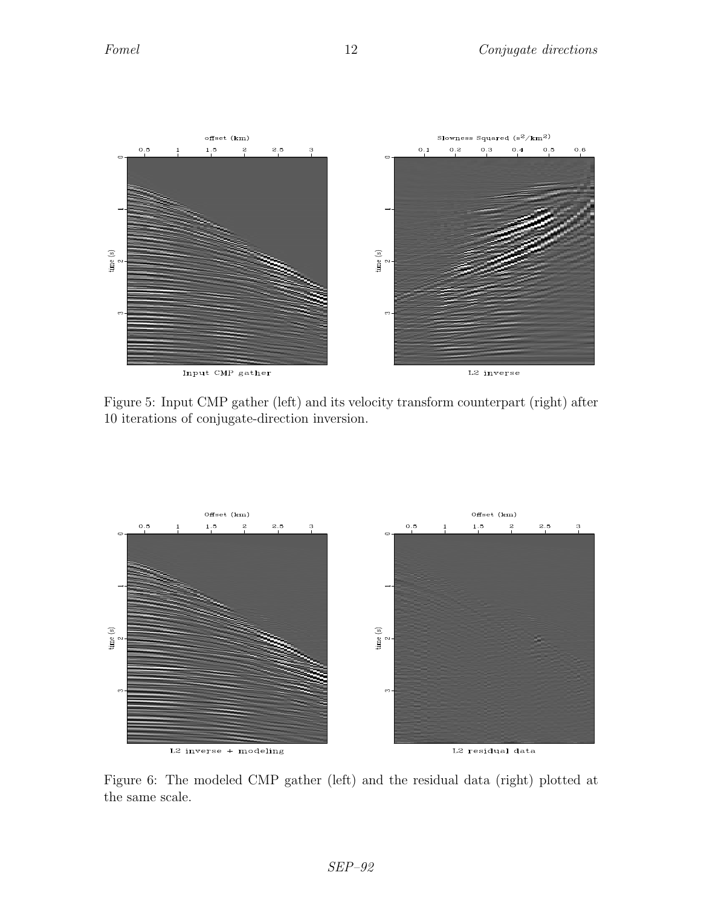

<span id="page-11-0"></span>Figure 5: Input CMP gather (left) and its velocity transform counterpart (right) after 10 iterations of conjugate-direction inversion.



<span id="page-11-1"></span>Figure 6: The modeled CMP gather (left) and the residual data (right) plotted at the same scale.